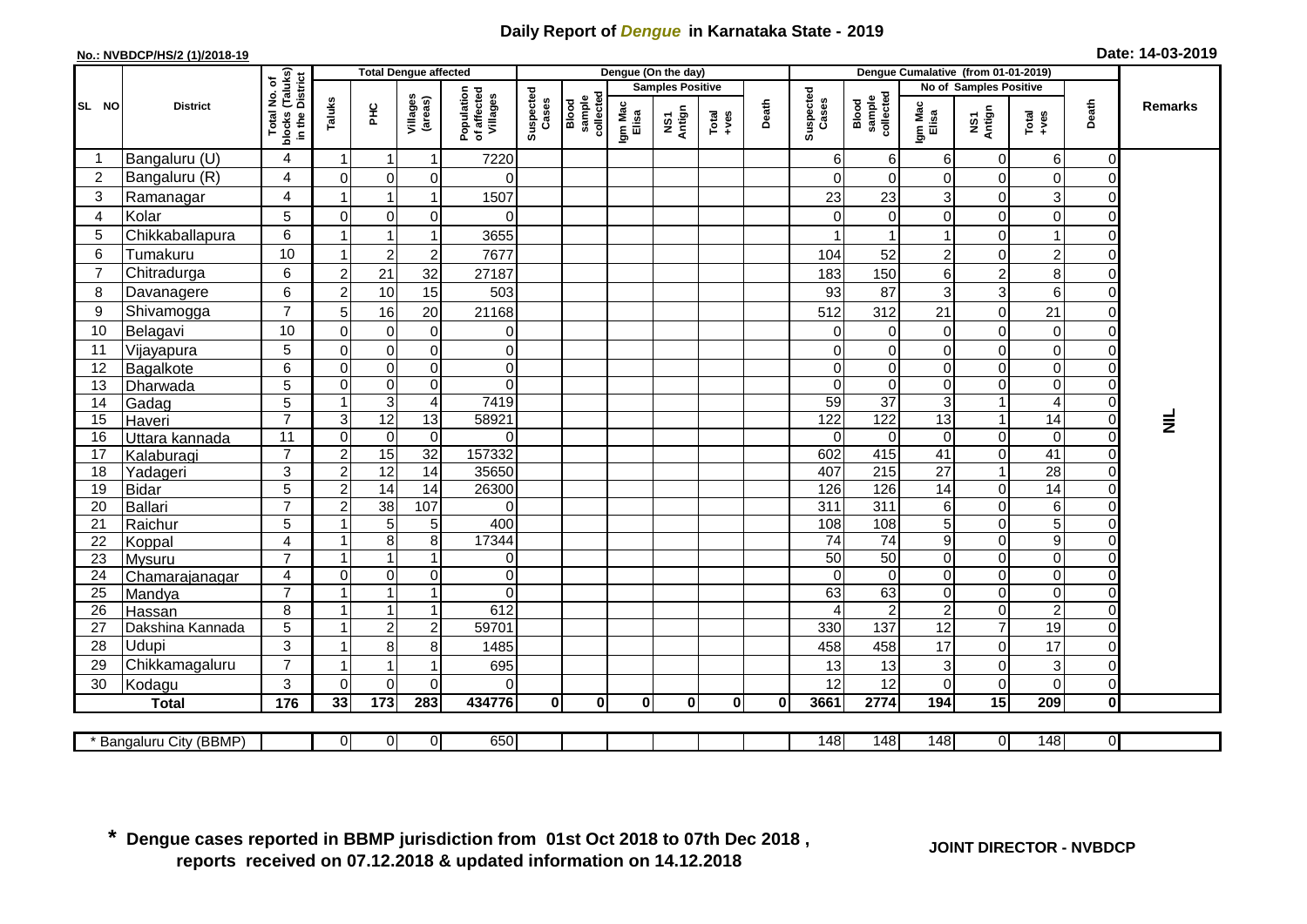## **Daily Report of** *Dengue* **in Karnataka State - 2019**

## **No.: NVBDCP/HS/2 (1)/2018-19**

|  |  | Date: 14-03-2019 |
|--|--|------------------|
|--|--|------------------|

|                 |                         | <b>Total Dengue affected</b>                    |                         |                     |                                |                                       | Dengue (On the day) |                              |                  |                         |               |          |                    | Dengue Cumalative (from 01-01-2019) |                                   |                               |                                                              |                |                 |  |
|-----------------|-------------------------|-------------------------------------------------|-------------------------|---------------------|--------------------------------|---------------------------------------|---------------------|------------------------------|------------------|-------------------------|---------------|----------|--------------------|-------------------------------------|-----------------------------------|-------------------------------|--------------------------------------------------------------|----------------|-----------------|--|
|                 |                         | ՟Ծ                                              |                         |                     |                                |                                       |                     |                              |                  | <b>Samples Positive</b> |               |          |                    |                                     |                                   | No of Samples Positive        |                                                              |                |                 |  |
| SL NO           | <b>District</b>         | blocks (Taluks)<br>in the District<br>Total No. | Taluks                  | E                   | Villages<br>(areas)            | Population<br>of affected<br>Villages | Suspected<br>Cases  | Blood<br>sample<br>collected | Igm Mac<br>Elisa | NS1<br>Antign           | Total<br>+ves | Death    | Suspected<br>Cases | Blood<br>sample<br>collected        | Igm Mac<br>Elisa                  | NS1<br>Antign                 | $\begin{array}{c}\n\text{Total} \\ \text{+ves}\n\end{array}$ | Death          | <b>Remarks</b>  |  |
| -1              | Bangaluru (U)           | $\overline{4}$                                  | -1                      | $\mathbf 1$         | $\mathbf{1}$                   | 7220                                  |                     |                              |                  |                         |               |          | 6                  | 6                                   | 6                                 | 0                             | 6                                                            | $\Omega$       |                 |  |
| $\overline{2}$  | Bangaluru (R)           | 4                                               | $\Omega$                | $\mathbf 0$         | $\mathbf 0$                    | $\Omega$                              |                     |                              |                  |                         |               |          | $\mathbf{0}$       | $\mathbf 0$                         | $\overline{0}$                    | $\mathbf 0$                   | $\Omega$                                                     | $\Omega$       |                 |  |
| 3               | Ramanagar               | $\overline{4}$                                  |                         | $\overline{1}$      | 1                              | 1507                                  |                     |                              |                  |                         |               |          | 23                 | 23                                  | 3                                 | 0                             | 3                                                            |                |                 |  |
| 4               | Kolar                   | 5                                               | $\mathbf 0$             | $\mathbf 0$         | $\pmb{0}$                      | $\overline{0}$                        |                     |                              |                  |                         |               |          | 0                  | $\mathbf 0$                         | $\overline{0}$                    | $\pmb{0}$                     | $\overline{0}$                                               |                |                 |  |
| 5               | Chikkaballapura         | 6                                               |                         | $\overline{1}$      | -1                             | 3655                                  |                     |                              |                  |                         |               |          | $\overline{1}$     |                                     | $\overline{1}$                    | $\Omega$                      |                                                              |                |                 |  |
| 6               | Tumakuru                | 10                                              |                         | $\overline{c}$      | $\overline{c}$                 | 7677                                  |                     |                              |                  |                         |               |          | 104                | 52                                  | $\overline{c}$                    | $\overline{0}$                | $\overline{2}$                                               |                |                 |  |
| $\overline{7}$  | Chitradurga             | $6\phantom{a}$                                  | $\overline{c}$          | 21                  | 32                             | 27187                                 |                     |                              |                  |                         |               |          | 183                | 150                                 | $\,6$                             | $\overline{c}$                | 8                                                            |                |                 |  |
| 8               | Davanagere              | 6                                               | $\overline{2}$          | 10                  | 15                             | 503                                   |                     |                              |                  |                         |               |          | 93                 | 87                                  | 3                                 | $\overline{3}$                | 6                                                            | $\Omega$       |                 |  |
| 9               | Shivamogga              | $\overline{7}$                                  | 5                       | 16                  | 20                             | 21168                                 |                     |                              |                  |                         |               |          | 512                | 312                                 | 21                                | $\pmb{0}$                     | 21                                                           |                |                 |  |
| 10              | Belagavi                | 10                                              | $\overline{0}$          | $\mathbf 0$         | $\pmb{0}$                      | $\overline{0}$                        |                     |                              |                  |                         |               |          | $\Omega$           | $\mathbf 0$                         | $\Omega$                          | $\mathbf 0$                   | $\Omega$                                                     |                |                 |  |
| 11              | Vijayapura              | 5                                               | $\mathbf 0$             | $\boldsymbol{0}$    | $\pmb{0}$                      | $\overline{O}$                        |                     |                              |                  |                         |               |          | 0                  | $\mathbf 0$                         | $\mathbf 0$                       | $\pmb{0}$                     | $\Omega$                                                     |                |                 |  |
| $\overline{12}$ | Bagalkote               | 6                                               | $\mathbf 0$             | $\overline{0}$      | $\overline{0}$                 | $\overline{0}$                        |                     |                              |                  |                         |               |          | $\overline{0}$     | $\overline{0}$                      | $\mathbf 0$                       | $\overline{0}$                | $\overline{0}$                                               |                |                 |  |
| 13              | Dharwada                | 5                                               | $\mathbf 0$             | $\mathbf 0$         | $\mathbf 0$                    | $\overline{0}$                        |                     |                              |                  |                         |               |          | $\overline{0}$     | $\Omega$                            | $\mathbf 0$                       | $\mathbf 0$                   | $\overline{0}$                                               |                |                 |  |
| 14              | Gadag                   | 5                                               | 1                       | $\overline{3}$      | 4                              | 7419                                  |                     |                              |                  |                         |               |          | 59                 | $\overline{37}$                     | $\mathbf 3$                       | 1                             |                                                              |                |                 |  |
| 15              | Haveri                  | $\overline{7}$                                  | $\mathbf{3}$            | 12                  | $\overline{13}$                | 58921                                 |                     |                              |                  |                         |               |          | 122                | 122                                 | $\overline{13}$                   | $\mathbf{1}$                  | 14                                                           | $\Omega$       | $\bar{\bar{z}}$ |  |
| $\overline{16}$ | Uttara kannada          | 11                                              | $\Omega$                | $\overline{0}$      | $\overline{\mathsf{o}}$        | $\overline{0}$                        |                     |                              |                  |                         |               |          | $\Omega$           | $\mathbf 0$                         | $\mathbf 0$                       | $\overline{0}$                | $\Omega$                                                     | $\Omega$       |                 |  |
| 17              | Kalaburagi              | $\overline{7}$                                  | $\boldsymbol{2}$        | 15                  | 32                             | 157332                                |                     |                              |                  |                         |               |          | 602                | 415                                 | 41                                | $\mathbf 0$                   | 41                                                           | $\Omega$       |                 |  |
| 18              | Yadageri                | 3                                               | $\overline{c}$          | $\overline{12}$     | $\overline{14}$                | 35650                                 |                     |                              |                  |                         |               |          | 407                | 215                                 | $\overline{27}$                   | $\mathbf{1}$                  | 28                                                           | $\Omega$       |                 |  |
| 19              | <b>Bidar</b>            | 5                                               | $\overline{c}$          | $\overline{14}$     | 14                             | 26300                                 |                     |                              |                  |                         |               |          | 126                | 126                                 | $\overline{14}$                   | 0                             | $\overline{14}$                                              | $\Omega$       |                 |  |
| 20              | <b>Ballari</b>          | $\overline{7}$                                  | $\boldsymbol{2}$        | 38                  | 107                            | $\overline{0}$                        |                     |                              |                  |                         |               |          | 311                | 311                                 | 6                                 | 0                             | 6                                                            | $\Omega$       |                 |  |
| 21              | Raichur                 | 5                                               | $\overline{1}$          | $\overline{5}$      | $\sqrt{5}$                     | 400                                   |                     |                              |                  |                         |               |          | 108                | 108                                 | 5                                 | $\mathbf 0$                   | $\overline{5}$                                               |                |                 |  |
| 22              | Koppal                  | $\overline{4}$                                  | $\overline{\mathbf{1}}$ | $\bf 8$             | $\bf 8$                        | 17344                                 |                     |                              |                  |                         |               |          | $\overline{74}$    | $\overline{74}$                     | $\boldsymbol{9}$                  | $\pmb{0}$                     | $\boldsymbol{9}$                                             |                |                 |  |
| 23              | <b>Mysuru</b>           | $\overline{7}$                                  | $\overline{1}$          | $\mathbf{1}$        | $\overline{1}$                 | $\overline{0}$                        |                     |                              |                  |                         |               |          | 50                 | 50                                  | $\overline{0}$                    | $\mathsf{O}\xspace$           | $\Omega$                                                     | $\Omega$       |                 |  |
| 24              | Chamarajanagar          | $\overline{4}$<br>$\overline{7}$                | $\mathbf 0$             | $\pmb{0}$           | $\mathsf{O}\xspace$            | $\overline{0}$                        |                     |                              |                  |                         |               |          | $\mathbf 0$        | $\mathbf 0$                         | $\overline{0}$                    | $\mathsf{O}\xspace$           | $\overline{\mathsf{o}}$                                      |                |                 |  |
| 25              | Mandya                  |                                                 | $\overline{1}$          | 1                   | $\overline{1}$                 | $\Omega$                              |                     |                              |                  |                         |               |          | 63                 | 63                                  | $\overline{0}$                    | $\mathbf 0$                   | $\Omega$                                                     |                |                 |  |
| 26              | Hassan                  | 8<br>5                                          | $\overline{\mathbf{1}}$ | $\mathbf{1}$        | $\mathbf{1}$<br>$\overline{c}$ | 612                                   |                     |                              |                  |                         |               |          | $\overline{4}$     | $\overline{c}$<br>137               | $\overline{2}$<br>$\overline{12}$ | $\mathbf 0$<br>$\overline{7}$ | $\overline{2}$                                               |                |                 |  |
| 27              | Dakshina Kannada        |                                                 | $\overline{\mathbf{1}}$ | $\boldsymbol{2}$    |                                | 59701                                 |                     |                              |                  |                         |               |          | 330                |                                     |                                   |                               | 19<br>17                                                     |                |                 |  |
| 28              | Udupi                   | 3<br>$\overline{7}$                             |                         | 8<br>$\overline{1}$ | 8<br>1                         | 1485                                  |                     |                              |                  |                         |               |          | 458                | 458                                 | 17                                | $\mathbf 0$                   |                                                              |                |                 |  |
| 29              | Chikkamagaluru          | $\mathbf{3}$                                    | $\Omega$                | $\Omega$            | $\Omega$                       | 695<br>$\Omega$                       |                     |                              |                  |                         |               |          | 13<br>12           | 13<br>12                            | $\mathbf 3$                       | $\pmb{0}$                     | 3<br>$\Omega$                                                |                |                 |  |
| 30              | Kodagu                  |                                                 |                         |                     |                                |                                       |                     |                              |                  |                         |               |          |                    |                                     | $\mathbf 0$                       | $\mathbf 0$                   |                                                              | $\overline{0}$ |                 |  |
|                 | <b>Total</b>            | $\frac{1}{176}$                                 | 33                      | $\frac{1}{173}$     | 283                            | 434776                                | $\mathbf{0}$        | $\mathbf{0}$                 | $\bf{0}$         | $\mathbf 0$             | $\mathbf 0$   | $\bf{0}$ | 3661               | 2774                                | 194                               | 15                            | 209                                                          | $\mathbf{0}$   |                 |  |
|                 | * Bangaluru City (BBMP) |                                                 | $\overline{0}$          | $\overline{0}$      | 0                              | 650                                   |                     |                              |                  |                         |               |          | 148                | 148                                 | $\overline{148}$                  | 0                             | $\overline{148}$                                             | $\overline{0}$ |                 |  |
|                 |                         |                                                 |                         |                     |                                |                                       |                     |                              |                  |                         |               |          |                    |                                     |                                   |                               |                                                              |                |                 |  |

**\* Dengue cases reported in BBMP jurisdiction from 01st Oct 2018 to 07th Dec 2018 , reports received on 07.12.2018 & updated information on 14.12.2018**

**JOINT DIRECTOR - NVBDCP**